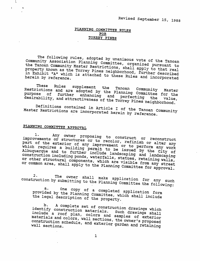# PLANNING COMMITTEE RULES FOR TORREY PINES

The following rules, adopted by unanimous vote of the Tanoan Community Association Planning Committee, organized pursuant to the Tanoan Community Master Restrictions, shall apply to that real property known as the Torrey Pines neighborhood, further described in Exhibit "A" which is attached to these Rules and incorporated herein by reference.

These Rules supplement the Tanoan Community Master Restrictions and are adopted by the Planning Committee for the purpose of further enhancing and perfecting the value, desirability, and attractiveness of the Torrey Pines neighborhood.

Definitions contained in Article I of the Tanoan Community Master Restrictions are incorporated herein by reference.

# PLANNING COMMITTEE APPROVAL

 $\mathcal{L}_{\mathcal{C}}$ 

Any owner proposing to construct or reconstruct 1. improvements or structures or to recolor, refinish or alter any part of the exterior of any improvement or to perform any work which requires a building permit to be issued by the City of Albuquerque and to further include landscaping and landscaping Albuquerque una co rurencia increase runabodying una runabodying or other structural components, which are visible from any street or common area, shall apply to the Planning Committee for approval.

The owner shall make application for any such  $2.$ construction by submitting to the Planning Committee the following:

One copy of a completed application form a. provided by the Planning Committee, which shall include the legal description of the property.

A complete set of construction drawings which b. identify construction materials. Such drawings shall include a roof plan, colors and samples of exterior materials and colors, wall sections, the owner's proposed construction schedule, and exterior garden and retaining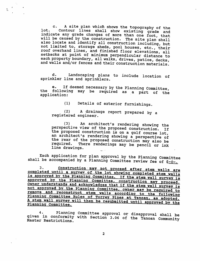c. A site plan which shows the topography of the lot. Contour lines shall show existing grade and indicate any grade changes of more than one foot, that will be caused by the construction. The site plan shall also locate and identify all construction including, but not limited to, storage sheds, pool houses, etc., their roof overhand lines, and finished floor elevations, all setbacks at point of minimum perpendicular distance to each property boundary, all walks, drives, patios, decks, and walls and/or fences and their construction materials.

 $\ddot{ }$ 

d. Landscaping plans to include location of sprinkler line and sprinklers.

e. If deemed necessary by the Planning Committee, the following may be required as a part of the application:

(1) Details of exterior furnishings.

(2) A drainage report prepared by a registered engineer.

(3) An architect's rendering showing the perspective view of the proposed construction. If the proposed construction is on a golf course lot, an architect's rendering showing a perspective of the rear of the proposed construction may also be<br>required. There renderings may be pencil or inh There renderings may be pencil or ink line drawings.

Each application for plan approval by the Planning Committee shall be accompanied by a Planning Committee review fee of \$-0-.

3. Construction may not proceed after stem walls are completed until a survey of the lot showing completed stem walls is approved by the Planning Committee. If the stem wall survey is approved by the Planning Committee, construction may proceed Owner understands and acknowledges that if the stem wall survey is not approved by the Planning Committee, owner may be required to remove and reconstruct stem walls according to the following Planning Committee Rules of Torrey Pines at Tanoan, as adopted. A stem wall survey will then be resubmitted until approved by the<br>Planning Committee.

4. Planning Committee approval or disapproval shall be<br>given in conformity with Section 3.06 of the Tanoan Community<br>Master Restrictions.

 $\overline{2}$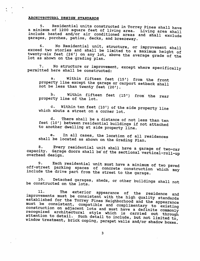# ARCHITECTURAL DESIGN STANDARDS

5. Residential units constructed in Torrey Pines shall have a minimum of 1200 square feet of living area. Living area shall include heated and/or air conditioned areas and shall exclude garages, porches, patios, decks, and breezeway.

6. No Residential unit, structure, or improvement shall exceed two stories and shall be limited to a maximum height of twenty-six feet (26') on any lot, above the average grade of the lot as shown on the grading plan.

7. No structure or improvement, except where specificallv permitted here shall be constructed: *\**

a. Within fifteen feet (15') from the front property line except the garage or carport setback shall not be less than twenty feet (20').

b. Within fifteen feet (15') from the rear property line of the lot.

c. Within ten feet (10') of the side property line which abuts a street on a corner lot.

d. There shall be a distance of not less than ten feet (10') between residential buildings if not attached to another dwelling at side property line.

e. In all cases, the location of all residences shall be located as shown on the Grading Plan.

8. Every residential unit shall have a garage of two-car capacity. Garage doors shall be of the sectional vertical-roll-un overhead design. The contract of the contract of  $\sim$ 

9. Each residential unit must have a minimum of two paved<br>off-street parking spaces of concrete construction which may include the drive part from the street to the garage.

10. Detached garages, sheds, or other buildings shall not be constructed on the lots.

11. The exterior appearance of the residence and improvements must be consistent with the high quality standards established for the Torrey Pines Neighborhood and the appearance<br>must be consistent, compatible and complimentary to existing construction on adjacent lots and must have a definite commonly<br>recognized architectural style which is carried out through<br>attention to detail. Such detail to include, but not limited to, window treatment, brick coping, parapet walls and/or shadow boxes.

 $\overline{\mathbf{3}}$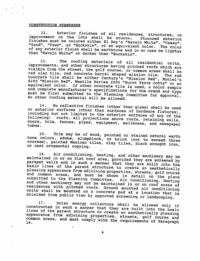#### CONSTRUCTION STANDARDS

 $\mathcal{F}_{\mathcal{L}}$ 

12. Exterior finishes of all residences, structures, or improvement on the lots shall be stucco. Stuccoed exterior finishes must be colored either El Rey's "Navajo White", "Cameo" "Sand", "Fawn", or "Buckskin", or an equivalent color. The color of any exterior finish shall be earthtone and in no case be lighter than "Navajo White" or darker than "Buckskin".

13. The roofing materials of all residential units improvements, and other structures having pitched roofs which are visible from the street, the golf course, or common areas shall be red clay tile, red concrete barrel shaped mission tile. The red concrete tile shall be either Century's "Mission Red', Moniel's #200 "Mission Red", Westile Series 2000 "Burnt Terra Cotta" or an equivalent color. If other concrete tile is used, a color sample and complete manufacturer's specifications for the brand and type<br>must be first submitted to the Planning Committee for approval.<br>No other roofing material will be allowed.

14. No reflective finishes (other than glass) shall be used<br>on exterior surfaces (other than surfaces of hardware fixtures), including but not limited to the exterior surfaces of any of the following: roofs, all projections above roofs, retaining walls doors, trim, fences, pipes, equipment, mailboxes, and newspaper<br>tubes.

15. Trim may be of wood, painted or stained natural earth tone colors, adobe, slumpblock, or brick (not to exceed three courses), painted Mexican tiles, clay tiles, black wrought iron,<br>or cast ornamental copying.

16. Air conditioning, heating, and other machinery may be<br>maintained in or on flat roof area, provided they are screened by<br>parapet walls and in such a manner that they are built into the<br>basic lines of the parent structur submitted to the Planning Committee. Air Conditioning, Heating<br>and other machinery may not be maintained in or on roof areas of<br>residences with pitched roofs. Ground mounted air conditioning units shall be mounted on a concrete pad at a location that is<br>shielded from public view by approved screening or landscaping.

17. Solar energy collectors shall be allowed only if constructed in such a manner that they are built into the basic lines of the parent structure to create an aesthetically pleasing appearance from adjoining properties, streets, golf course and common areas, and must comply with the requirements of Paragraph

 $\ddot{4}$ 

 $\mathbf{C}$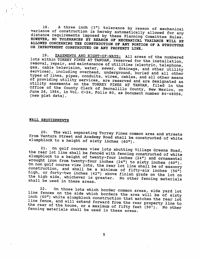18. A three inch (3») tolerance by reason of mechanical variance of construction is hereby automatically allowed for any distance requirements imposed by these Planning Committee Rules. HOWEVER, NO TOLERANCES BY REASON OP MECHANICAL VARIANCE WILL BE ALLOWED CONCERNING THE CONSTRUCTION OF ANY PORTION OF A STRUCTURE OR IMPROVEHENT CONSTRUCTED ON ANY PROPERTY LINE.

19. EASEMENTS AND RIGHT-OF-WAYS: All areas of the numbered lots within TORREY PINES AT TANOAN, reserved for the installation, removal, repair, and maintenance of utilities (electric, telephone' gas, cable television, water, sewer, drainage, and other utility services), including overhead, underground, buried and all other types of lines, pipes, conduits, wires, cables, and all other means of providing utility services, are reserved and are designated as utility easements on the TORREY PINES AT TANOAN, filed in the Office of the County Clerk of Bernalillo County, New Mexico, on June 26, 1984, in Vol. C-24, Folio 80, as Document number 84-48056, (new plat data).

WALL REQUIREMENTS

20 The wall separating Torrey Pines common area and streets from Ventura Street and Academy Road shall be constructed of white slumpblock to a height of sixty inches (60").

21. On golf courses view lots abutting Village Greens Road, the rear lot line shall be fenced with fencing constructed of white slumpblock to a height of twenty-four inches (24") and ornamental wrought iron from twenty-four inches (24") to sixty inches (60").<br>On non golf course view lots, the rear lot line shall be of masonry construction, and shall be a minimum of fifty-six inches (56") high, or forty-two inches (42") above finish grade on the lot on the high side, whichever is greater. No other fencing materials shall be used in these areas.

22. On those lots which border common areas, side yard lot<br>line fences on the side which borders the area will be of sixty<br>inch (60") white slumpblock construction that matches the rear lot<br>line fence, and will extend forw the rear of the house, or a maximum of fifty feet (50<sup>1</sup>). No other fencing materials shall be used in these areas.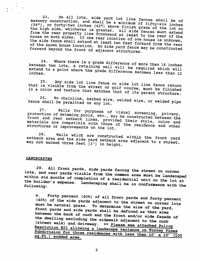On all lots, side yard lot line fences shall be of  $23.$ masonry construction, and shall be a minimum of fifty-six inches (56"), or forty-two inches (42") above finish grade of the lot on the high side, whichever is greater. All side fences must extend<br>from the rear property line frontward at least to the rear of the house on both sides. If one rear location of one house is unknown, the side fence shall extend at least ten feet forward from the rear of the known house location. No side yard fence may be constructed forward beyond the front of adjacent structures.

Where there is a grade difference of more than 18 inches  $24.$ between two lots, a retaining wall will be required which will extend to a point where the grade difference becomes less than 12

Any side lot line fence or side lot line fence return 25. that is visible from the street or golf course, must be finished in a color and texture that matches that of its parent structure.

No chainlink, barbed wire, welded wire, or welded pipe 26. fence shall be permitted on any lot.

Walls for purposes of visual screening, privacy, 27. protection of swimming pools, etc., may be constructed between the front and rear setback lines, provided their style, color and materials are compatible with those of the residence and other structures or improvements on the lot.

Walls which are constructed within the front yard 28. setback area and the side yard setback area adjacent to a street, may not exceed three feet (3') in height.

# **LANDSCAPING**

29. All front yards, side yards facing the street on corner lots, and rear yards visible from the common area must be landscaped within six months of completion of a residential unit on the lot at the builder's expense. Landscaping shall be in conformance with the following:

Forty percent (40%) of all front yards and forty percent  $a.$ (40%) of the side yards adjacent to the street on corner lots must be natural grass. To determine the size of the yard, front yards and side yards shall be defined as that area between the back of curb and the front and/or side façade of the dwelling excluding the sidewalk adjacent to the curb (street walk) and driveway. \*\* Please see attached Policy Resolution #21 allowing a landscape variance in Torrey Pines Subdivision for those residences with less than 10' x 10' (100 sq.ft.) sodded area.

6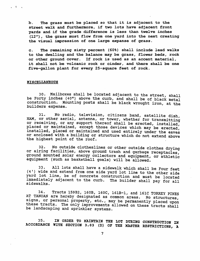b. The grass must be placed so that it is adjacent to the street walk and furthermore, if two lots have adjacent front yards and if the grade difference is less than twelve inches (12"), the grass must flow from one yard into the next creating the visual impression of one large expanse of grass.

c. The remaining sixty percent (60%) shall include lead walks to the dwelling and the balance may be grass, flower beds, rock or other ground cover. If rock is used as an accent material, it shall not be volcanic rock or cinder, and there shall be one five-gallon plant for every 25-square feet of rock.

#### **MISCELLANEOUS**

 $\mathbf{r}$  . The contract of  $\mathbf{r}$ 

30. Mailboxes shall be located adjacent to the street, shall be Forty inches (40") above the curb, and shall be of black metal construction. Mounting posts shall be black wrought iron, at the builders expense.

31. No radio, television, citizens band, satellite dish, HAM, or other aerial, antenna, or tower, whether for transmitting or receiving, or any support thereof shall be erected, installed, placed or maintained, except those devices which may be erected, installed, placed or maintained and used entirely under the eaves or enclosed with a building or structure which do not extend above the highest point of the roof.

32. No outside clotheslines or other outside clothes drying or airing facilities, above ground trash and garbage receptacles, ground mounted .solar energy collectors and equipment, or athletic equipment (such as basketball goals) will be allowed.

33. All lots shall have a sidewalk which shall be Four feet (4\*) wide and extend from one side yard lot line to the other side yard lot line, be of concrete construction and must be located immediately adjacent to the curb. The builder shall pay for all sidewalks.

34. Tracts 159B2, 160B, 160C, 161B-1, and 161C TORREY PINES AT TANOAN are hereby designated as common areas. No structures, signs, or personal property, etc., may be permanently placed upon these tracts. The only improvements allowed on these tracts shall be landscaping and sprinkler systems.

35. IN ORDER TO MAINTAIN THE LOT DURING CONSTRUCTION IN ACCORDANCE WITH SECTION 3,03 (D) OP THE MASTER RESTRICTIONS, A

7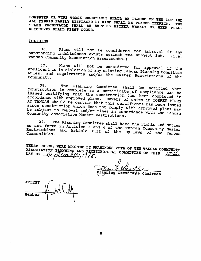DUMPSTER OR WIRE TRASH RECEPTACLE SHALL BE PLACED ON THE LOT AND ALL DEBRIS EASILY DISPLACED BY WIND SHALL BE PLACED THEREIN. THE TRASH RECEPTACLE SHALL BE EMPTIED EITHER WEEKLY OR WHEN FULL, WHICHEVER SHALL FIRST OCCUR.

#### **POLICIES**

**A Contract** 

> Plans will not be considered for approval if any  $36.$ outstanding indebtedness exists against the subject lot. (i.e. Tanoan Community Association Assessments.)

> Plans will not be considered for approval if the  $37.$ applicant is in violation of any existing Tanoan Planning Committee Rules, and requirements and/or the Master Restrictions of the Community.

> The Planning Committee shall be notified when 38. construction is complete so a certificate of compliance can be issued certifying that the construction has been completed in accordance with approved plans. Buyers of units in TORREY PINES AT TANOAN should be certain that this certificate has been issued since construction which does not comply with approved plans may be subject to removal and/or fines in accordance with the Tanoan Community Association Master Restrictions.

> The Planning Committee shall have the rights and duties 39. as set forth in Articles 3 and 4 of the Tanoan Community Master Restrictions and Article XIII of the By-laws of the Tanoan

> THESE RULES, WERE ADOPTED BY UNANIMOUS VOTE OF THE TANOAN COMMUNITY ASSOCIATION PLANNING AND ARCHITECTURAL COMMITTEE OF THIS  $\frac{15}{4}$ DAY OF stemker 1988.

Commitate Chairman

**ATTEST**